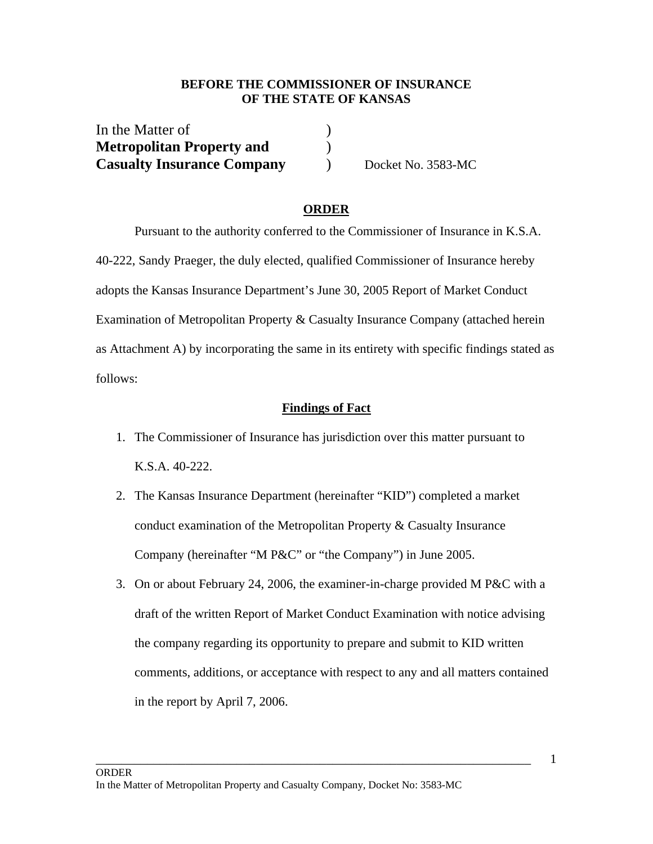## **BEFORE THE COMMISSIONER OF INSURANCE OF THE STATE OF KANSAS**

| In the Matter of                  |  |
|-----------------------------------|--|
| <b>Metropolitan Property and</b>  |  |
| <b>Casualty Insurance Company</b> |  |

**Casualty Insurance Company** ) Docket No. 3583-MC

### **ORDER**

 Pursuant to the authority conferred to the Commissioner of Insurance in K.S.A. 40-222, Sandy Praeger, the duly elected, qualified Commissioner of Insurance hereby adopts the Kansas Insurance Department's June 30, 2005 Report of Market Conduct Examination of Metropolitan Property & Casualty Insurance Company (attached herein as Attachment A) by incorporating the same in its entirety with specific findings stated as follows:

#### **Findings of Fact**

- 1. The Commissioner of Insurance has jurisdiction over this matter pursuant to K.S.A. 40-222.
- 2. The Kansas Insurance Department (hereinafter "KID") completed a market conduct examination of the Metropolitan Property & Casualty Insurance Company (hereinafter "M P&C" or "the Company") in June 2005.
- 3. On or about February 24, 2006, the examiner-in-charge provided M P&C with a draft of the written Report of Market Conduct Examination with notice advising the company regarding its opportunity to prepare and submit to KID written comments, additions, or acceptance with respect to any and all matters contained in the report by April 7, 2006.

\_\_\_\_\_\_\_\_\_\_\_\_\_\_\_\_\_\_\_\_\_\_\_\_\_\_\_\_\_\_\_\_\_\_\_\_\_\_\_\_\_\_\_\_\_\_\_\_\_\_\_\_\_\_\_\_\_\_\_\_\_\_\_\_\_\_\_\_ 1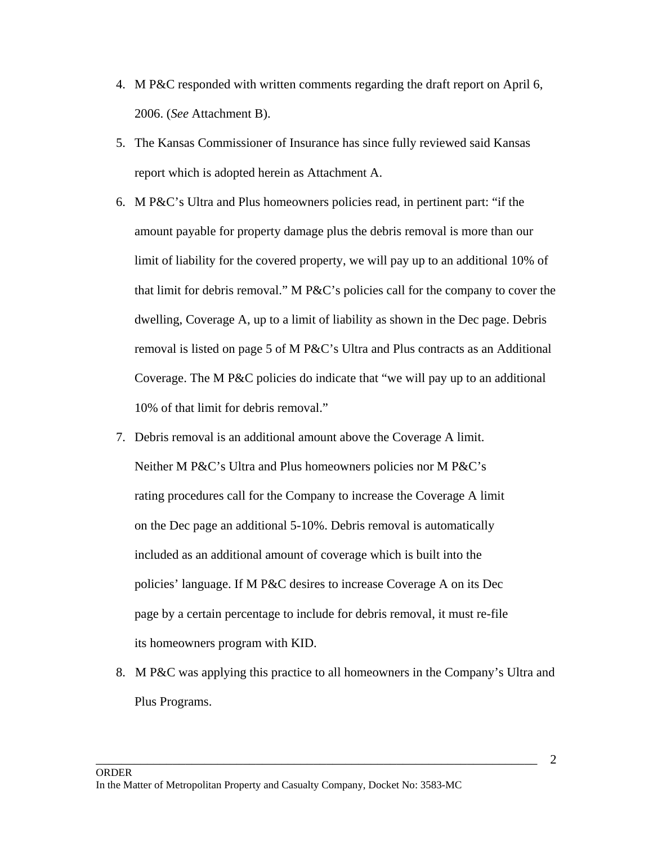- 4. M P&C responded with written comments regarding the draft report on April 6, 2006. (*See* Attachment B).
- 5. The Kansas Commissioner of Insurance has since fully reviewed said Kansas report which is adopted herein as Attachment A.
- 6. M P&C's Ultra and Plus homeowners policies read, in pertinent part: "if the amount payable for property damage plus the debris removal is more than our limit of liability for the covered property, we will pay up to an additional 10% of that limit for debris removal." M P&C's policies call for the company to cover the dwelling, Coverage A, up to a limit of liability as shown in the Dec page. Debris removal is listed on page 5 of M P&C's Ultra and Plus contracts as an Additional Coverage. The M P&C policies do indicate that "we will pay up to an additional 10% of that limit for debris removal."
- 7. Debris removal is an additional amount above the Coverage A limit. Neither M P&C's Ultra and Plus homeowners policies nor M P&C's rating procedures call for the Company to increase the Coverage A limit on the Dec page an additional 5-10%. Debris removal is automatically included as an additional amount of coverage which is built into the policies' language. If M P&C desires to increase Coverage A on its Dec page by a certain percentage to include for debris removal, it must re-file its homeowners program with KID.
- 8. M P&C was applying this practice to all homeowners in the Company's Ultra and Plus Programs.

\_\_\_\_\_\_\_\_\_\_\_\_\_\_\_\_\_\_\_\_\_\_\_\_\_\_\_\_\_\_\_\_\_\_\_\_\_\_\_\_\_\_\_\_\_\_\_\_\_\_\_\_\_\_\_\_\_\_\_\_\_\_\_\_\_\_\_\_\_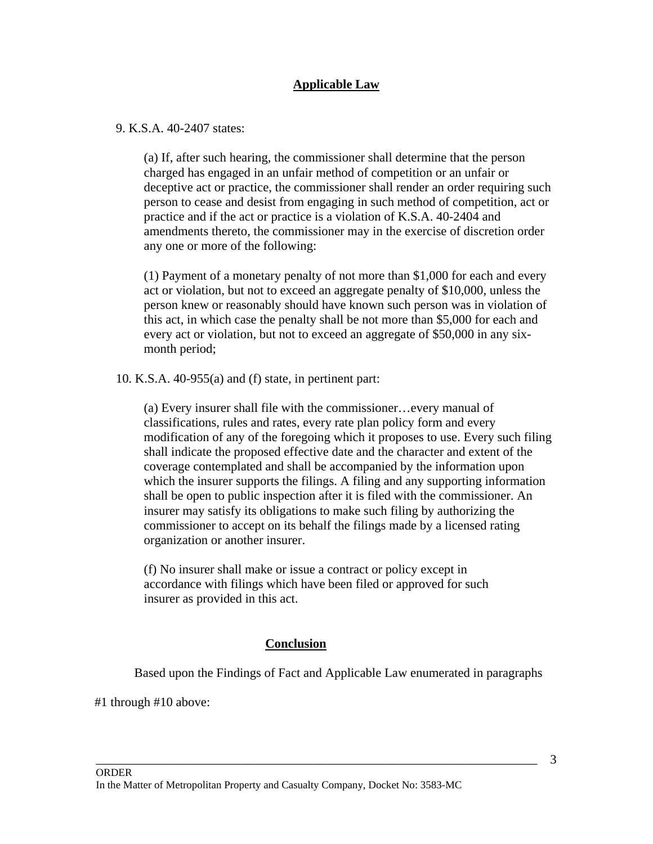# **Applicable Law**

## 9. K.S.A. 40-2407 states:

(a) If, after such hearing, the commissioner shall determine that the person charged has engaged in an unfair method of competition or an unfair or deceptive act or practice, the commissioner shall render an order requiring such person to cease and desist from engaging in such method of competition, act or practice and if the act or practice is a violation of K.S.A. 40-2404 and amendments thereto, the commissioner may in the exercise of discretion order any one or more of the following:

(1) Payment of a monetary penalty of not more than \$1,000 for each and every act or violation, but not to exceed an aggregate penalty of \$10,000, unless the person knew or reasonably should have known such person was in violation of this act, in which case the penalty shall be not more than \$5,000 for each and every act or violation, but not to exceed an aggregate of \$50,000 in any sixmonth period;

10. K.S.A. 40-955(a) and (f) state, in pertinent part:

(a) Every insurer shall file with the commissioner…every manual of classifications, rules and rates, every rate plan policy form and every modification of any of the foregoing which it proposes to use. Every such filing shall indicate the proposed effective date and the character and extent of the coverage contemplated and shall be accompanied by the information upon which the insurer supports the filings. A filing and any supporting information shall be open to public inspection after it is filed with the commissioner. An insurer may satisfy its obligations to make such filing by authorizing the commissioner to accept on its behalf the filings made by a licensed rating organization or another insurer.

(f) No insurer shall make or issue a contract or policy except in accordance with filings which have been filed or approved for such insurer as provided in this act.

# **Conclusion**

Based upon the Findings of Fact and Applicable Law enumerated in paragraphs

\_\_\_\_\_\_\_\_\_\_\_\_\_\_\_\_\_\_\_\_\_\_\_\_\_\_\_\_\_\_\_\_\_\_\_\_\_\_\_\_\_\_\_\_\_\_\_\_\_\_\_\_\_\_\_\_\_\_\_\_\_\_\_\_\_\_\_\_\_

#1 through #10 above: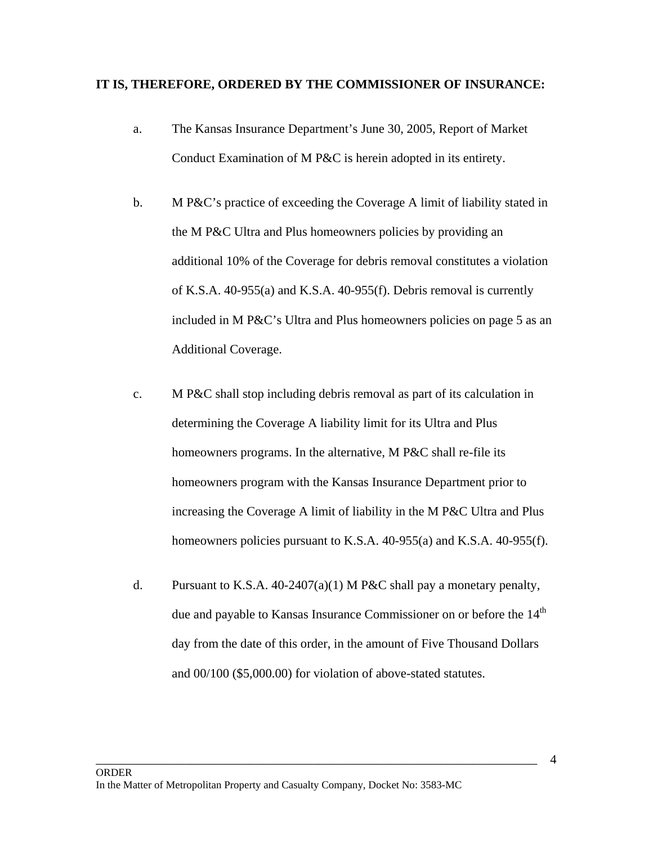#### **IT IS, THEREFORE, ORDERED BY THE COMMISSIONER OF INSURANCE:**

- a.The Kansas Insurance Department's June 30, 2005, Report of Market Conduct Examination of M P&C is herein adopted in its entirety.
- b. M P&C's practice of exceeding the Coverage A limit of liability stated in the M P&C Ultra and Plus homeowners policies by providing an additional 10% of the Coverage for debris removal constitutes a violation of K.S.A. 40-955(a) and K.S.A. 40-955(f). Debris removal is currently included in M P&C's Ultra and Plus homeowners policies on page 5 as an Additional Coverage.
- c. M P&C shall stop including debris removal as part of its calculation in determining the Coverage A liability limit for its Ultra and Plus homeowners programs. In the alternative, M P&C shall re-file its homeowners program with the Kansas Insurance Department prior to increasing the Coverage A limit of liability in the M P&C Ultra and Plus homeowners policies pursuant to K.S.A. 40-955(a) and K.S.A. 40-955(f).
- d. Pursuant to K.S.A.  $40-2407(a)(1)$  M P&C shall pay a monetary penalty, due and payable to Kansas Insurance Commissioner on or before the 14<sup>th</sup> day from the date of this order, in the amount of Five Thousand Dollars and 00/100 (\$5,000.00) for violation of above-stated statutes.

\_\_\_\_\_\_\_\_\_\_\_\_\_\_\_\_\_\_\_\_\_\_\_\_\_\_\_\_\_\_\_\_\_\_\_\_\_\_\_\_\_\_\_\_\_\_\_\_\_\_\_\_\_\_\_\_\_\_\_\_\_\_\_\_\_\_\_\_\_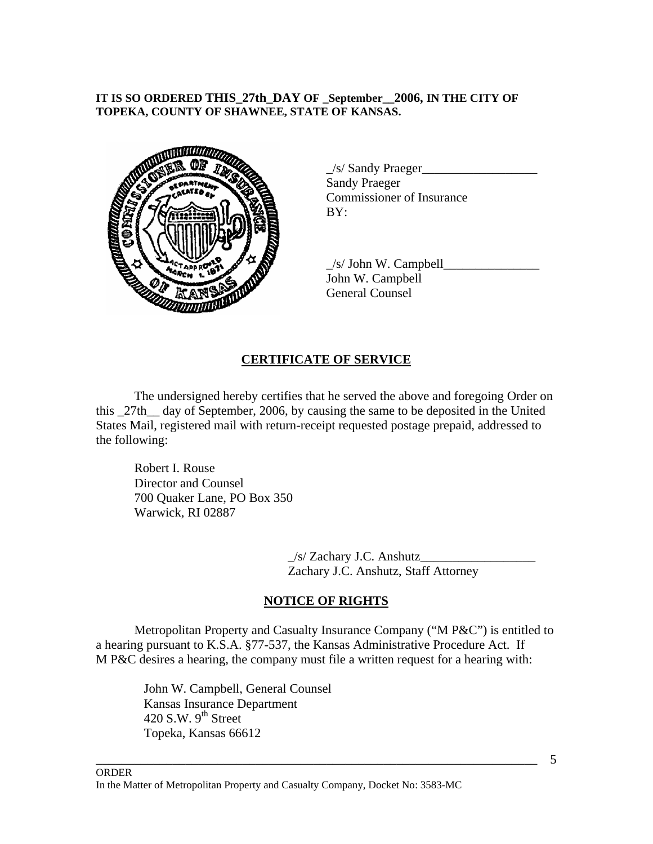### **IT IS SO ORDERED THIS\_27th\_DAY OF \_September\_\_2006, IN THE CITY OF TOPEKA, COUNTY OF SHAWNEE, STATE OF KANSAS.**



 $\angle$ s/ Sandy Praeger $\angle$ Sandy Praeger Commissioner of Insurance

 $\angle$ s/ John W. Campbell $\Box$ John W. Campbell General Counsel

### **CERTIFICATE OF SERVICE**

 The undersigned hereby certifies that he served the above and foregoing Order on this \_27th\_\_ day of September, 2006, by causing the same to be deposited in the United States Mail, registered mail with return-receipt requested postage prepaid, addressed to the following:

Robert I. Rouse Director and Counsel 700 Quaker Lane, PO Box 350 Warwick, RI 02887

> \_/s/ Zachary J.C. Anshutz\_\_\_\_\_\_\_\_\_\_\_\_\_\_\_\_\_\_ Zachary J.C. Anshutz, Staff Attorney

# **NOTICE OF RIGHTS**

 Metropolitan Property and Casualty Insurance Company ("M P&C") is entitled to a hearing pursuant to K.S.A. §77-537, the Kansas Administrative Procedure Act. If M P&C desires a hearing, the company must file a written request for a hearing with:

\_\_\_\_\_\_\_\_\_\_\_\_\_\_\_\_\_\_\_\_\_\_\_\_\_\_\_\_\_\_\_\_\_\_\_\_\_\_\_\_\_\_\_\_\_\_\_\_\_\_\_\_\_\_\_\_\_\_\_\_\_\_\_\_\_\_\_\_\_

John W. Campbell, General Counsel Kansas Insurance Department 420 S.W.  $9^{th}$  Street Topeka, Kansas 66612